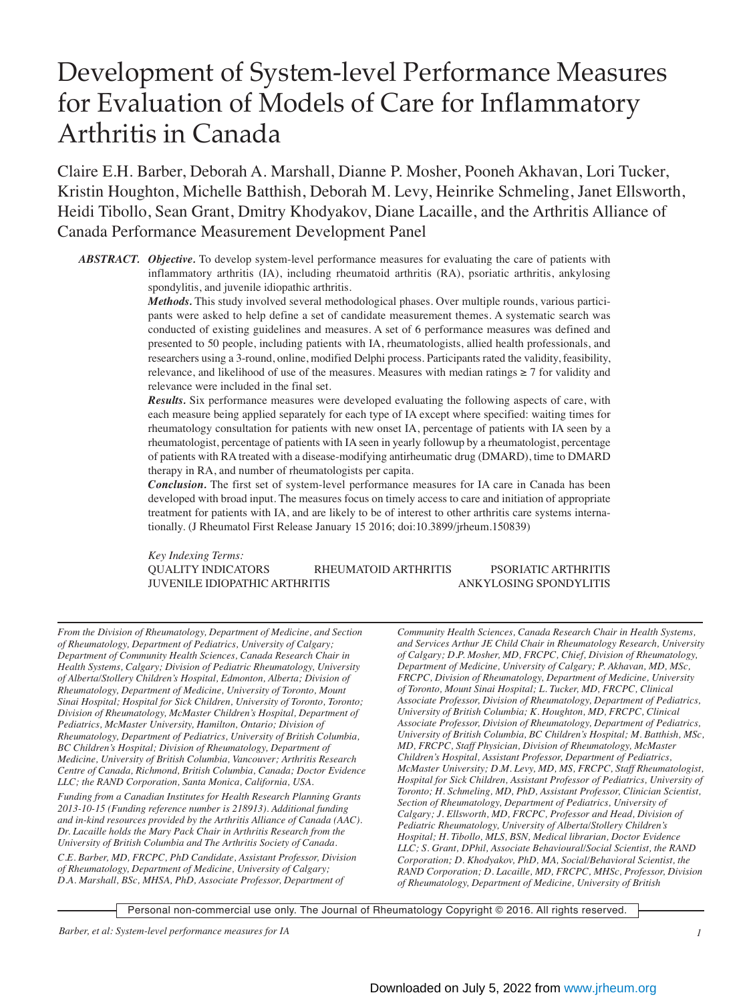# Development of System-level Performance Measures for Evaluation of Models of Care for Inflammatory Arthritis in Canada

Claire E.H. Barber, Deborah A. Marshall, Dianne P. Mosher, Pooneh Akhavan, Lori Tucker, Kristin Houghton, Michelle Batthish, Deborah M. Levy, Heinrike Schmeling, Janet Ellsworth, Heidi Tibollo, Sean Grant, Dmitry Khodyakov, Diane Lacaille, and the Arthritis Alliance of Canada Performance Measurement Development Panel

*ABSTRACT. Objective.* To develop system-level performance measures for evaluating the care of patients with inflammatory arthritis (IA), including rheumatoid arthritis (RA), psoriatic arthritis, ankylosing spondylitis, and juvenile idiopathic arthritis.

> *Methods.* This study involved several methodological phases. Over multiple rounds, various participants were asked to help define a set of candidate measurement themes. A systematic search was conducted of existing guidelines and measures. A set of 6 performance measures was defined and presented to 50 people, including patients with IA, rheumatologists, allied health professionals, and researchers using a 3-round, online, modified Delphi process. Participants rated the validity, feasibility, relevance, and likelihood of use of the measures. Measures with median ratings  $\geq 7$  for validity and relevance were included in the final set.

> *Results.* Six performance measures were developed evaluating the following aspects of care, with each measure being applied separately for each type of IA except where specified: waiting times for rheumatology consultation for patients with new onset IA, percentage of patients with IA seen by a rheumatologist, percentage of patients with IA seen in yearly followup by a rheumatologist, percentage of patients with RA treated with a disease-modifying antirheumatic drug (DMARD), time to DMARD therapy in RA, and number of rheumatologists per capita.

> *Conclusion.* The first set of system-level performance measures for IA care in Canada has been developed with broad input. The measures focus on timely access to care and initiation of appropriate treatment for patients with IA, and are likely to be of interest to other arthritis care systems internationally. (J Rheumatol First Release January 15 2016; doi:10.3899/jrheum.150839)

> *Key Indexing Terms:* QUALITY INDICATORS RHEUMATOID ARTHRITIS PSORIATIC ARTHRITIS JUVENILE IDIOPATHIC ARTHRITIS ANKYLOSING SPONDYLITIS

*From the Division of Rheumatology, Department of Medicine, and Section of Rheumatology, Department of Pediatrics, University of Calgary; Department of Community Health Sciences, Canada Research Chair in Health Systems, Calgary; Division of Pediatric Rheumatology, University of Alberta/Stollery Children's Hospital, Edmonton, Alberta; Division of Rheumatology, Department of Medicine, University of Toronto, Mount Sinai Hospital; Hospital for Sick Children, University of Toronto, Toronto; Division of Rheumatology, McMaster Children's Hospital, Department of Pediatrics, McMaster University, Hamilton, Ontario; Division of Rheumatology, Department of Pediatrics, University of British Columbia, BC Children's Hospital; Division of Rheumatology, Department of Medicine, University of British Columbia, Vancouver; Arthritis Research Centre of Canada, Richmond, British Columbia, Canada; Doctor Evidence LLC; the RAND Corporation, Santa Monica, California, USA.*

*Funding from a Canadian Institutes for Health Research Planning Grants 2013-10-15 (Funding reference number is 218913). Additional funding and in-kind resources provided by the Arthritis Alliance of Canada (AAC). Dr. Lacaille holds the Mary Pack Chair in Arthritis Research from the University of British Columbia and The Arthritis Society of Canada.*

*C.E. Barber, MD, FRCPC, PhD Candidate, Assistant Professor, Division of Rheumatology, Department of Medicine, University of Calgary; D.A. Marshall, BSc, MHSA, PhD, Associate Professor, Department of*

*Community Health Sciences, Canada Research Chair in Health Systems, and Services Arthur JE Child Chair in Rheumatology Research, University of Calgary; D.P. Mosher, MD, FRCPC, Chief, Division of Rheumatology, Department of Medicine, University of Calgary; P. Akhavan, MD, MSc, FRCPC, Division of Rheumatology, Department of Medicine, University of Toronto, Mount Sinai Hospital; L. Tucker, MD, FRCPC, Clinical Associate Professor, Division of Rheumatology, Department of Pediatrics, University of British Columbia; K. Houghton, MD, FRCPC, Clinical Associate Professor, Division of Rheumatology, Department of Pediatrics, University of British Columbia, BC Children's Hospital; M. Batthish, MSc, MD, FRCPC, Staff Physician, Division of Rheumatology, McMaster Children's Hospital, Assistant Professor, Department of Pediatrics, McMaster University; D.M. Levy, MD, MS, FRCPC, Staff Rheumatologist, Hospital for Sick Children, Assistant Professor of Pediatrics, University of Toronto; H. Schmeling, MD, PhD, Assistant Professor, Clinician Scientist, Section of Rheumatology, Department of Pediatrics, University of Calgary; J. Ellsworth, MD, FRCPC, Professor and Head, Division of Pediatric Rheumatology, University of Alberta/Stollery Children's Hospital; H. Tibollo, MLS, BSN, Medical librarian, Doctor Evidence LLC; S. Grant, DPhil, Associate Behavioural/Social Scientist, the RAND Corporation; D. Khodyakov, PhD, MA, Social/Behavioral Scientist, the RAND Corporation; D. Lacaille, MD, FRCPC, MHSc, Professor, Division of Rheumatology, Department of Medicine, University of British*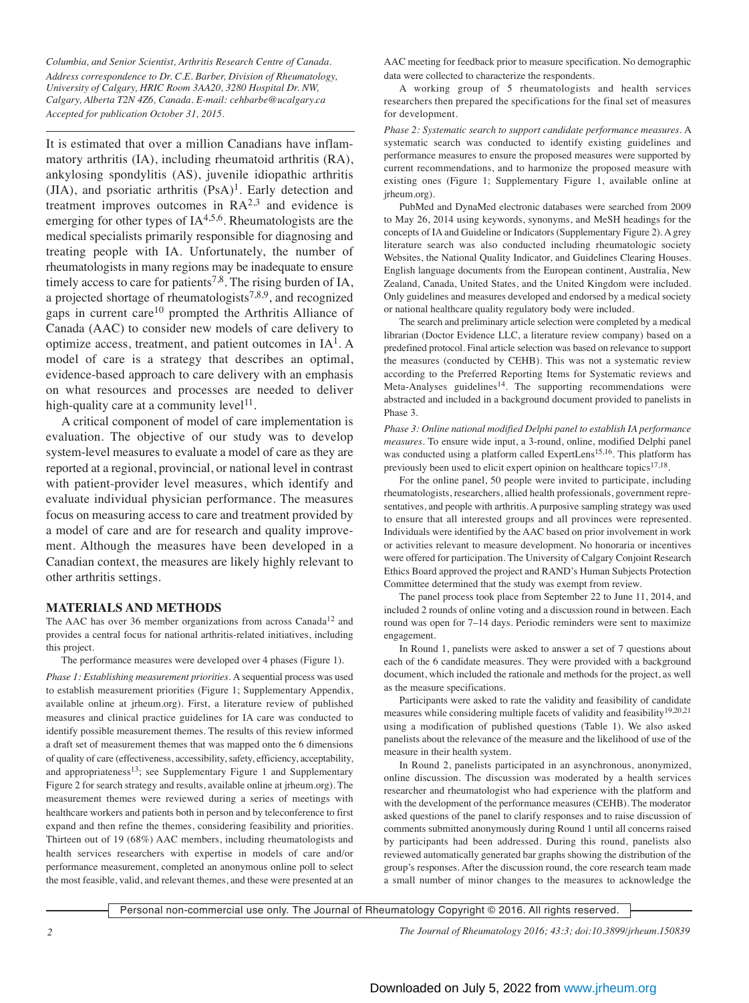*Columbia, and Senior Scientist, Arthritis Research Centre of Canada. Address correspondence to Dr. C.E. Barber, Division of Rheumatology, University of Calgary, HRIC Room 3AA20, 3280 Hospital Dr. NW, Calgary, Alberta T2N 4Z6, Canada. E-mail: cehbarbe@ucalgary.ca Accepted for publication October 31, 2015.*

It is estimated that over a million Canadians have inflammatory arthritis (IA), including rheumatoid arthritis (RA), ankylosing spondylitis (AS), juvenile idiopathic arthritis  $(JIA)$ , and psoriatic arthritis  $(PsA)^1$ . Early detection and treatment improves outcomes in  $RA^{2,3}$  and evidence is emerging for other types of  $IA<sup>4,5,6</sup>$ . Rheumatologists are the medical specialists primarily responsible for diagnosing and treating people with IA. Unfortunately, the number of rheumatologists in many regions may be inadequate to ensure timely access to care for patients<sup>7,8</sup>. The rising burden of IA, a projected shortage of rheumatologists<sup>7,8,9</sup>, and recognized gaps in current care<sup>10</sup> prompted the Arthritis Alliance of Canada (AAC) to consider new models of care delivery to optimize access, treatment, and patient outcomes in  $IA<sup>1</sup>$ . A model of care is a strategy that describes an optimal, evidence-based approach to care delivery with an emphasis on what resources and processes are needed to deliver high-quality care at a community level<sup>11</sup>.

A critical component of model of care implementation is evaluation. The objective of our study was to develop system-level measures to evaluate a model of care as they are reported at a regional, provincial, or national level in contrast with patient-provider level measures, which identify and evaluate individual physician performance. The measures focus on measuring access to care and treatment provided by a model of care and are for research and quality improvement. Although the measures have been developed in a Canadian context, the measures are likely highly relevant to other arthritis settings.

### **MATERIALS AND METHODS**

The AAC has over 36 member organizations from across Canada<sup>12</sup> and provides a central focus for national arthritis-related initiatives, including this project.

The performance measures were developed over 4 phases (Figure 1).

*Phase 1: Establishing measurement priorities.* A sequential process was used to establish measurement priorities (Figure 1; Supplementary Appendix, available online at jrheum.org). First, a literature review of published measures and clinical practice guidelines for IA care was conducted to identify possible measurement themes. The results of this review informed a draft set of measurement themes that was mapped onto the 6 dimensions of quality of care (effectiveness, accessibility, safety, efficiency, acceptability, and appropriateness<sup>13</sup>; see Supplementary Figure 1 and Supplementary Figure 2 for search strategy and results, available online at jrheum.org). The measurement themes were reviewed during a series of meetings with healthcare workers and patients both in person and by teleconference to first expand and then refine the themes, considering feasibility and priorities. Thirteen out of 19 (68%) AAC members, including rheumatologists and health services researchers with expertise in models of care and/or performance measurement, completed an anonymous online poll to select the most feasible, valid, and relevant themes, and these were presented at an

AAC meeting for feedback prior to measure specification. No demographic data were collected to characterize the respondents.

A working group of 5 rheumatologists and health services researchers then prepared the specifications for the final set of measures for development.

*Phase 2: Systematic search to support candidate performance measures.* A systematic search was conducted to identify existing guidelines and performance measures to ensure the proposed measures were supported by current recommendations, and to harmonize the proposed measure with existing ones (Figure 1; Supplementary Figure 1, available online at jrheum.org).

PubMed and DynaMed electronic databases were searched from 2009 to May 26, 2014 using keywords, synonyms, and MeSH headings for the concepts of IA and Guideline or Indicators (Supplementary Figure 2). A grey literature search was also conducted including rheumatologic society Websites, the National Quality Indicator, and Guidelines Clearing Houses. English language documents from the European continent, Australia, New Zealand, Canada, United States, and the United Kingdom were included. Only guidelines and measures developed and endorsed by a medical society or national healthcare quality regulatory body were included.

The search and preliminary article selection were completed by a medical librarian (Doctor Evidence LLC, a literature review company) based on a predefined protocol. Final article selection was based on relevance to support the measures (conducted by CEHB). This was not a systematic review according to the Preferred Reporting Items for Systematic reviews and Meta-Analyses guidelines<sup>14</sup>. The supporting recommendations were abstracted and included in a background document provided to panelists in Phase 3.

*Phase 3: Online national modified Delphi panel to establish IA performance measures.* To ensure wide input, a 3-round, online, modified Delphi panel was conducted using a platform called ExpertLens<sup>15,16</sup>. This platform has previously been used to elicit expert opinion on healthcare topics<sup>17,18</sup>.

For the online panel, 50 people were invited to participate, including rheumatologists, researchers, allied health professionals, government representatives, and people with arthritis. A purposive sampling strategy was used to ensure that all interested groups and all provinces were represented. Individuals were identified by the AAC based on prior involvement in work or activities relevant to measure development. No honoraria or incentives were offered for participation. The University of Calgary Conjoint Research Ethics Board approved the project and RAND's Human Subjects Protection Committee determined that the study was exempt from review.

The panel process took place from September 22 to June 11, 2014, and included 2 rounds of online voting and a discussion round in between. Each round was open for 7–14 days. Periodic reminders were sent to maximize engagement.

In Round 1, panelists were asked to answer a set of 7 questions about each of the 6 candidate measures. They were provided with a background document, which included the rationale and methods for the project, as well as the measure specifications.

Participants were asked to rate the validity and feasibility of candidate measures while considering multiple facets of validity and feasibility<sup>19,20,21</sup> using a modification of published questions (Table 1). We also asked panelists about the relevance of the measure and the likelihood of use of the measure in their health system.

In Round 2, panelists participated in an asynchronous, anonymized, online discussion. The discussion was moderated by a health services researcher and rheumatologist who had experience with the platform and with the development of the performance measures (CEHB). The moderator asked questions of the panel to clarify responses and to raise discussion of comments submitted anonymously during Round 1 until all concerns raised by participants had been addressed. During this round, panelists also reviewed automatically generated bar graphs showing the distribution of the group's responses. After the discussion round, the core research team made a small number of minor changes to the measures to acknowledge the

Personal non-commercial use only. The Journal of Rheumatology Copyright © 2016. All rights reserved.

*2 The Journal of Rheumatology 2016; 43:3; doi:10.3899/jrheum.150839*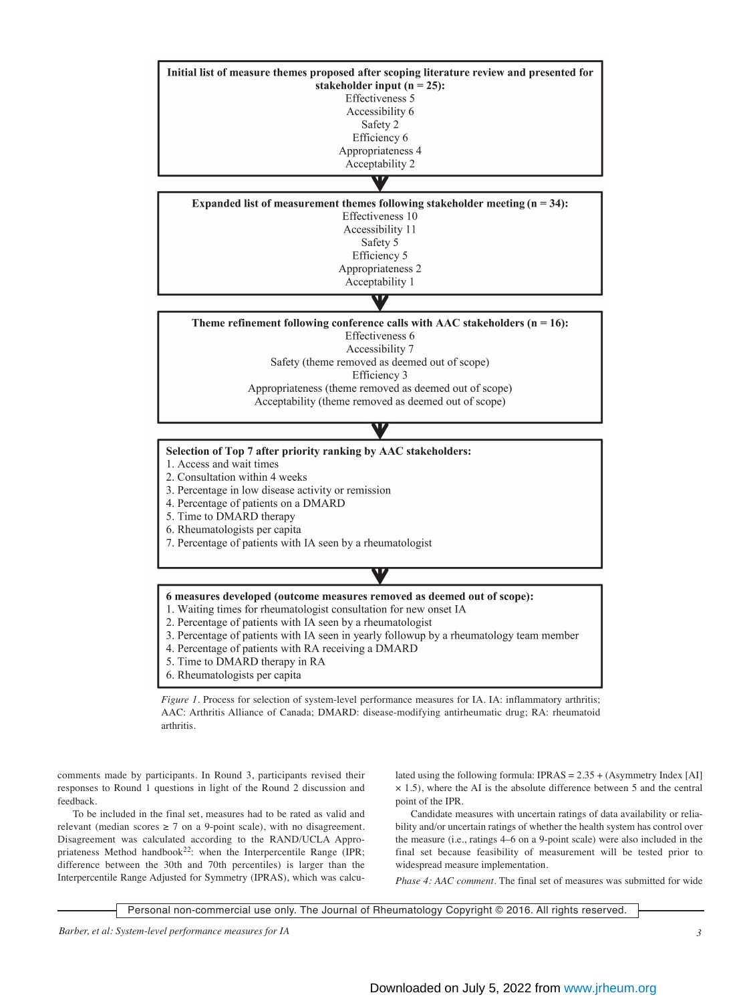

AAC: Arthritis Alliance of Canada; DMARD: disease-modifying antirheumatic drug; RA: rheumatoid arthritis.

comments made by participants. In Round 3, participants revised their responses to Round 1 questions in light of the Round 2 discussion and feedback.

To be included in the final set, measures had to be rated as valid and relevant (median scores  $\geq 7$  on a 9-point scale), with no disagreement. Disagreement was calculated according to the RAND/UCLA Appropriateness Method handbook<sup>22</sup>: when the Interpercentile Range (IPR; difference between the 30th and 70th percentiles) is larger than the Interpercentile Range Adjusted for Symmetry (IPRAS), which was calculated using the following formula: IPRAS = 2.35 + (Asymmetry Index [AI]  $\times$  1.5), where the AI is the absolute difference between 5 and the central point of the IPR.

Candidate measures with uncertain ratings of data availability or reliability and/or uncertain ratings of whether the health system has control over the measure (i.e., ratings 4–6 on a 9-point scale) were also included in the final set because feasibility of measurement will be tested prior to widespread measure implementation.

*Phase 4: AAC comment.* The final set of measures was submitted for wide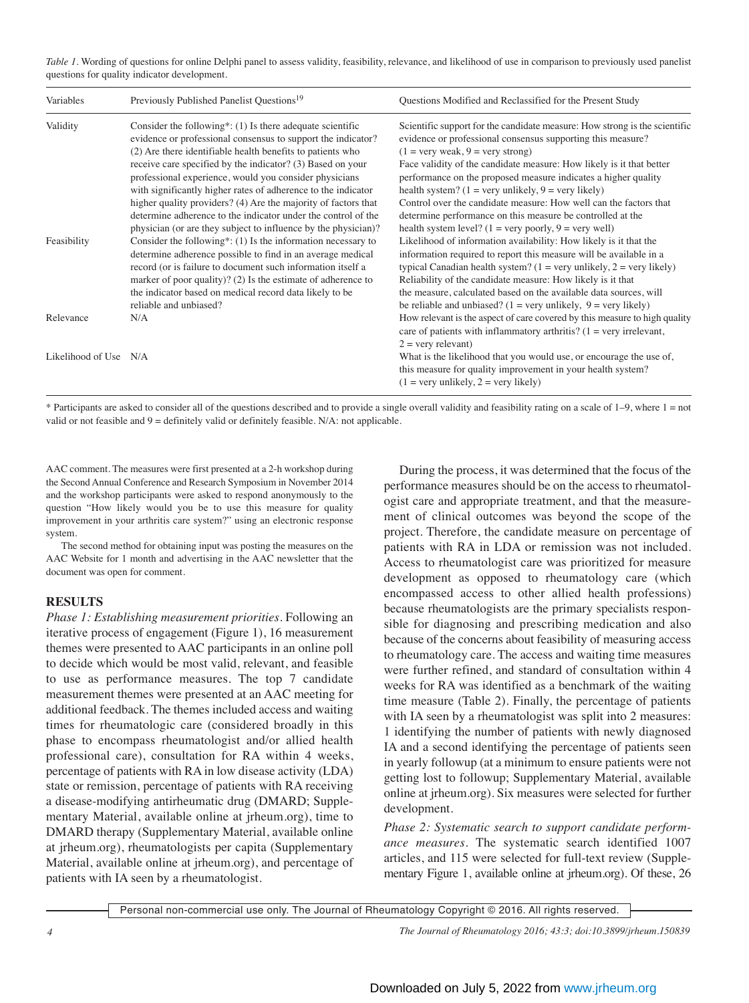*Table 1.* Wording of questions for online Delphi panel to assess validity, feasibility, relevance, and likelihood of use in comparison to previously used panelist questions for quality indicator development.

| Variables         | Previously Published Panelist Ouestions <sup>19</sup>                                                                                                                                                                                                                                                                                                                                                                                                                                                                                                                                   | Questions Modified and Reclassified for the Present Study                                                                                                                                                                                                                                                                                                                                                                                                                                                                                                                                                                  |
|-------------------|-----------------------------------------------------------------------------------------------------------------------------------------------------------------------------------------------------------------------------------------------------------------------------------------------------------------------------------------------------------------------------------------------------------------------------------------------------------------------------------------------------------------------------------------------------------------------------------------|----------------------------------------------------------------------------------------------------------------------------------------------------------------------------------------------------------------------------------------------------------------------------------------------------------------------------------------------------------------------------------------------------------------------------------------------------------------------------------------------------------------------------------------------------------------------------------------------------------------------------|
| Validity          | Consider the following*: $(1)$ Is there adequate scientific<br>evidence or professional consensus to support the indicator?<br>(2) Are there identifiable health benefits to patients who<br>receive care specified by the indicator? (3) Based on your<br>professional experience, would you consider physicians<br>with significantly higher rates of adherence to the indicator<br>higher quality providers? (4) Are the majority of factors that<br>determine adherence to the indicator under the control of the<br>physician (or are they subject to influence by the physician)? | Scientific support for the candidate measure: How strong is the scientific<br>evidence or professional consensus supporting this measure?<br>$(1 = \text{very weak}, 9 = \text{very strong})$<br>Face validity of the candidate measure: How likely is it that better<br>performance on the proposed measure indicates a higher quality<br>health system? $(1 = \text{very unlikely}, 9 = \text{very likely})$<br>Control over the candidate measure: How well can the factors that<br>determine performance on this measure be controlled at the<br>health system level? $(1 = \text{very poorly}, 9 = \text{very well})$ |
| Feasibility       | Consider the following*: $(1)$ Is the information necessary to<br>determine adherence possible to find in an average medical<br>record (or is failure to document such information itself a<br>marker of poor quality)? (2) Is the estimate of adherence to<br>the indicator based on medical record data likely to be<br>reliable and unbiased?                                                                                                                                                                                                                                        | Likelihood of information availability: How likely is it that the<br>information required to report this measure will be available in a<br>typical Canadian health system? $(1 = \text{very unlikely}, 2 = \text{very likely})$<br>Reliability of the candidate measure: How likely is it that<br>the measure, calculated based on the available data sources, will<br>be reliable and unbiased? $(1 = \text{very unlikely}, 9 = \text{very likely})$                                                                                                                                                                      |
| Relevance         | N/A                                                                                                                                                                                                                                                                                                                                                                                                                                                                                                                                                                                     | How relevant is the aspect of care covered by this measure to high quality<br>care of patients with inflammatory arthritis? $(1 = \text{very irrelevant},$<br>$2 = \text{very relevant}$                                                                                                                                                                                                                                                                                                                                                                                                                                   |
| Likelihood of Use | N/A                                                                                                                                                                                                                                                                                                                                                                                                                                                                                                                                                                                     | What is the likelihood that you would use, or encourage the use of,<br>this measure for quality improvement in your health system?<br>$(1 = \text{very unlikely}, 2 = \text{very likely})$                                                                                                                                                                                                                                                                                                                                                                                                                                 |

\* Participants are asked to consider all of the questions described and to provide a single overall validity and feasibility rating on a scale of 1–9, where 1 = not valid or not feasible and  $9 =$  definitely valid or definitely feasible. N/A: not applicable.

AAC comment. The measures were first presented at a 2-h workshop during the Second Annual Conference and Research Symposium in November 2014 and the workshop participants were asked to respond anonymously to the question "How likely would you be to use this measure for quality improvement in your arthritis care system?" using an electronic response system.

The second method for obtaining input was posting the measures on the AAC Website for 1 month and advertising in the AAC newsletter that the document was open for comment.

## **RESULTS**

*Phase 1: Establishing measurement priorities.* Following an iterative process of engagement (Figure 1), 16 measurement themes were presented to AAC participants in an online poll to decide which would be most valid, relevant, and feasible to use as performance measures. The top 7 candidate measurement themes were presented at an AAC meeting for additional feedback. The themes included access and waiting times for rheumatologic care (considered broadly in this phase to encompass rheumatologist and/or allied health professional care), consultation for RA within 4 weeks, percentage of patients with RA in low disease activity (LDA) state or remission, percentage of patients with RA receiving a disease-modifying antirheumatic drug (DMARD; Supplementary Material, available online at jrheum.org), time to DMARD therapy (Supplementary Material, available online at jrheum.org), rheumatologists per capita (Supplementary Material, available online at jrheum.org), and percentage of patients with IA seen by a rheumatologist.

During the process, it was determined that the focus of the performance measures should be on the access to rheumatologist care and appropriate treatment, and that the measure ment of clinical outcomes was beyond the scope of the project. Therefore, the candidate measure on percentage of patients with RA in LDA or remission was not included. Access to rheumatologist care was prioritized for measure development as opposed to rheumatology care (which encompassed access to other allied health professions) because rheumatologists are the primary specialists responsible for diagnosing and prescribing medication and also because of the concerns about feasibility of measuring access to rheumatology care. The access and waiting time measures were further refined, and standard of consultation within 4 weeks for RA was identified as a benchmark of the waiting time measure (Table 2). Finally, the percentage of patients with IA seen by a rheumatologist was split into 2 measures: 1 identifying the number of patients with newly diagnosed IA and a second identifying the percentage of patients seen in yearly followup (at a minimum to ensure patients were not getting lost to followup; Supplementary Material, available online at jrheum.org). Six measures were selected for further development.

*Phase 2: Systematic search to support candidate perform ance measures.* The systematic search identified 1007 articles, and 115 were selected for full-text review (Supple mentary Figure 1, available online at jrheum.org). Of these, 26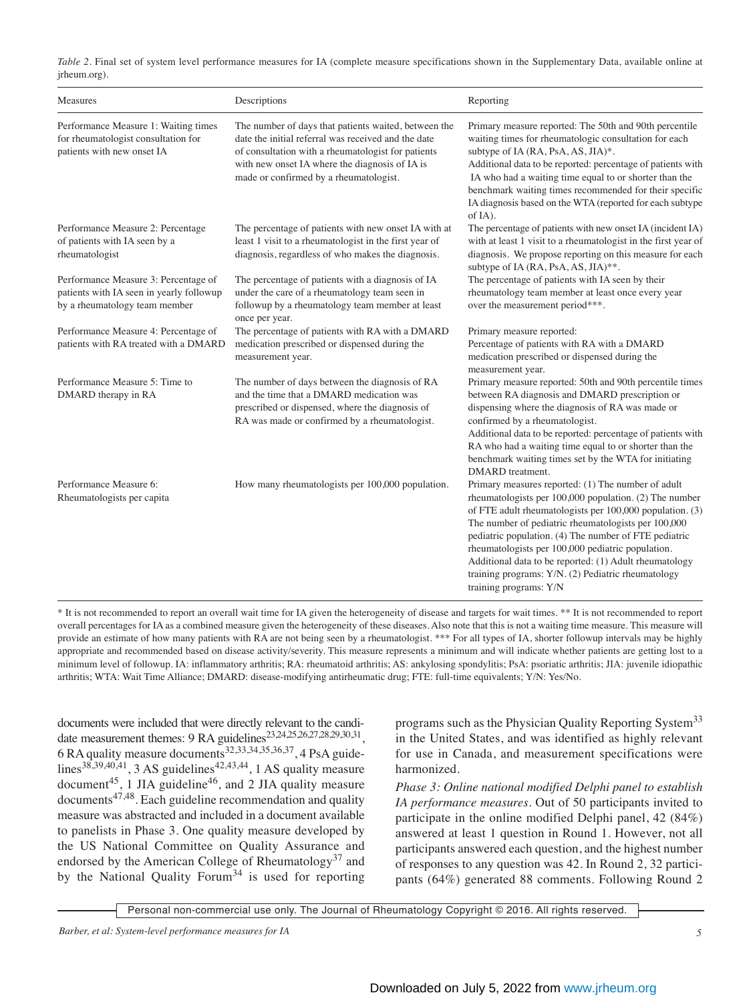*Table 2.* Final set of system level performance measures for IA (complete measure specifications shown in the Supplementary Data, available online at irheum.org).

| Measures                                                                                                          | Descriptions                                                                                                                                                                                                                                                  | Reporting                                                                                                                                                                                                                                                                                                                                                                                                                                                                               |
|-------------------------------------------------------------------------------------------------------------------|---------------------------------------------------------------------------------------------------------------------------------------------------------------------------------------------------------------------------------------------------------------|-----------------------------------------------------------------------------------------------------------------------------------------------------------------------------------------------------------------------------------------------------------------------------------------------------------------------------------------------------------------------------------------------------------------------------------------------------------------------------------------|
| Performance Measure 1: Waiting times<br>for rheumatologist consultation for<br>patients with new onset IA         | The number of days that patients waited, between the<br>date the initial referral was received and the date<br>of consultation with a rheumatologist for patients<br>with new onset IA where the diagnosis of IA is<br>made or confirmed by a rheumatologist. | Primary measure reported: The 50th and 90th percentile<br>waiting times for rheumatologic consultation for each<br>subtype of IA (RA, PsA, AS, JIA)*.<br>Additional data to be reported: percentage of patients with<br>IA who had a waiting time equal to or shorter than the<br>benchmark waiting times recommended for their specific<br>IA diagnosis based on the WTA (reported for each subtype<br>of IA).                                                                         |
| Performance Measure 2: Percentage<br>of patients with IA seen by a<br>rheumatologist                              | The percentage of patients with new onset IA with at<br>least 1 visit to a rheumatologist in the first year of<br>diagnosis, regardless of who makes the diagnosis.                                                                                           | The percentage of patients with new onset IA (incident IA)<br>with at least 1 visit to a rheumatologist in the first year of<br>diagnosis. We propose reporting on this measure for each<br>subtype of IA (RA, PsA, AS, JIA)**.                                                                                                                                                                                                                                                         |
| Performance Measure 3: Percentage of<br>patients with IA seen in yearly followup<br>by a rheumatology team member | The percentage of patients with a diagnosis of IA<br>under the care of a rheumatology team seen in<br>followup by a rheumatology team member at least<br>once per year.                                                                                       | The percentage of patients with IA seen by their<br>rheumatology team member at least once every year<br>over the measurement period***.                                                                                                                                                                                                                                                                                                                                                |
| Performance Measure 4: Percentage of<br>patients with RA treated with a DMARD                                     | The percentage of patients with RA with a DMARD<br>medication prescribed or dispensed during the<br>measurement year.                                                                                                                                         | Primary measure reported:<br>Percentage of patients with RA with a DMARD<br>medication prescribed or dispensed during the<br>measurement year.                                                                                                                                                                                                                                                                                                                                          |
| Performance Measure 5: Time to<br>DMARD therapy in RA                                                             | The number of days between the diagnosis of RA<br>and the time that a DMARD medication was<br>prescribed or dispensed, where the diagnosis of<br>RA was made or confirmed by a rheumatologist.                                                                | Primary measure reported: 50th and 90th percentile times<br>between RA diagnosis and DMARD prescription or<br>dispensing where the diagnosis of RA was made or<br>confirmed by a rheumatologist.<br>Additional data to be reported: percentage of patients with<br>RA who had a waiting time equal to or shorter than the<br>benchmark waiting times set by the WTA for initiating<br>DMARD treatment.                                                                                  |
| Performance Measure 6:<br>Rheumatologists per capita                                                              | How many rheumatologists per 100,000 population.                                                                                                                                                                                                              | Primary measures reported: (1) The number of adult<br>rheumatologists per 100,000 population. (2) The number<br>of FTE adult rheumatologists per 100,000 population. (3)<br>The number of pediatric rheumatologists per 100,000<br>pediatric population. (4) The number of FTE pediatric<br>rheumatologists per 100,000 pediatric population.<br>Additional data to be reported: (1) Adult rheumatology<br>training programs: Y/N. (2) Pediatric rheumatology<br>training programs: Y/N |

\* It is not recommended to report an overall wait time for IA given the heterogeneity of disease and targets for wait times. \*\* It is not recommended to report overall percentages for IA as a combined measure given the heterogeneity of these diseases. Also note that this is not a waiting time measure. This measure will provide an estimate of how many patients with RA are not being seen by a rheumatologist. \*\*\* For all types of IA, shorter followup intervals may be highly appropriate and recommended based on disease activity/severity. This measure represents a minimum and will indicate whether patients are getting lost to a minimum level of followup. IA: inflammatory arthritis; RA: rheumatoid arthritis; AS: ankylosing spondylitis; PsA: psoriatic arthritis; JIA: juvenile idiopathic arthritis; WTA: Wait Time Alliance; DMARD: disease-modifying antirheumatic drug; FTE: full-time equivalents; Y/N: Yes/No.

documents were included that were directly relevant to the candidate measurement themes: 9 RA guidelines<sup>23,24,25,26,27,28,29,30,31</sup>, 6 RA quality measure documents<sup>32,33,34,35,36,37</sup>, 4 PsA guidelines<sup>38,39,40,41</sup>, 3 AS guidelines<sup>42,43,44</sup>, 1 AS quality measure document<sup>45</sup>, 1 JIA guideline<sup>46</sup>, and 2 JIA quality measure documents<sup>47,48</sup>. Each guideline recommendation and quality measure was abstracted and included in a document available to panelists in Phase 3. One quality measure developed by the US National Committee on Quality Assurance and endorsed by the American College of Rheumatology<sup>37</sup> and by the National Quality Forum<sup>34</sup> is used for reporting programs such as the Physician Quality Reporting System<sup>33</sup> in the United States, and was identified as highly relevant for use in Canada, and measurement specifications were harmonized.

*Phase 3: Online national modified Delphi panel to establish IA performance measures.* Out of 50 participants invited to participate in the online modified Delphi panel, 42 (84%) answered at least 1 question in Round 1. However, not all participants answered each question, and the highest number of responses to any question was 42. In Round 2, 32 participants (64%) generated 88 comments. Following Round 2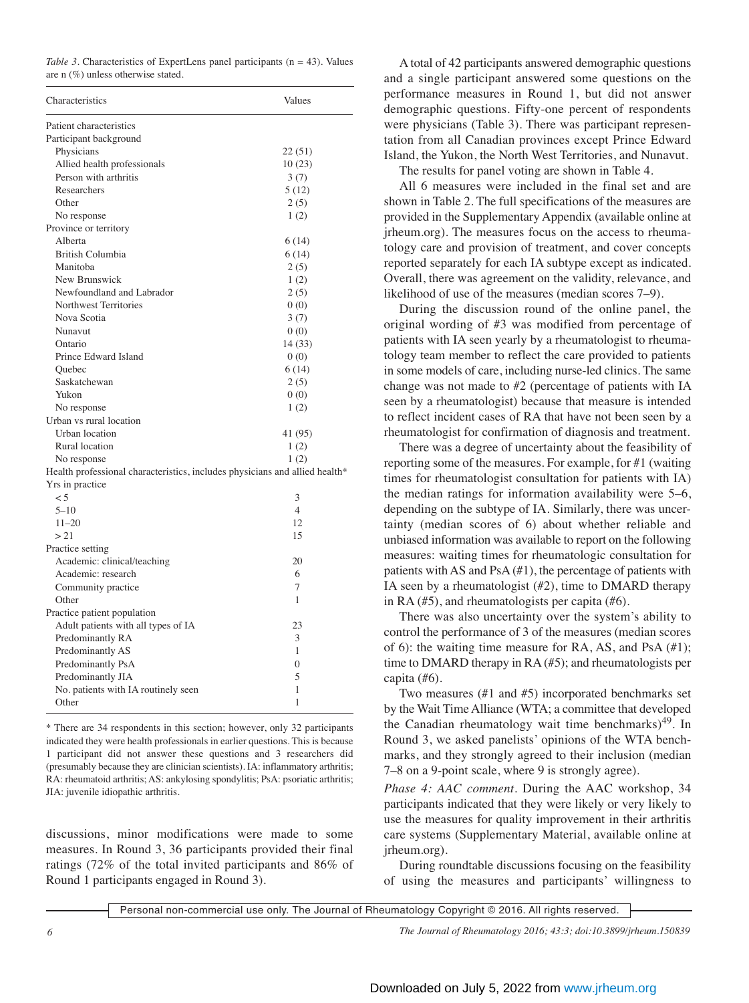*Table 3.* Characteristics of ExpertLens panel participants (n = 43). Values are n (%) unless otherwise stated.

| Patient characteristics                                                     |                |
|-----------------------------------------------------------------------------|----------------|
| Participant background                                                      |                |
| Physicians                                                                  | 22(51)         |
| Allied health professionals                                                 | 10(23)         |
| Person with arthritis                                                       | 3(7)           |
| Researchers                                                                 | 5(12)          |
| Other                                                                       | 2(5)           |
| No response                                                                 | 1(2)           |
| Province or territory                                                       |                |
| Alberta                                                                     | 6(14)          |
| British Columbia                                                            | 6(14)          |
| Manitoba                                                                    | 2(5)           |
| New Brunswick                                                               | 1(2)           |
| Newfoundland and Labrador                                                   | 2(5)           |
| Northwest Territories                                                       | 0(0)           |
| Nova Scotia                                                                 | 3(7)           |
| Nunavut                                                                     | 0(0)           |
| Ontario                                                                     | 14 (33)        |
| Prince Edward Island                                                        | 0(0)           |
| Quebec                                                                      | 6 (14)         |
| Saskatchewan                                                                | 2(5)           |
| Yukon                                                                       | 0(0)           |
| No response                                                                 | 1(2)           |
| Urban vs rural location                                                     |                |
| Urban location                                                              | 41 (95)        |
| <b>Rural</b> location                                                       | 1(2)           |
| No response                                                                 | 1(2)           |
| Health professional characteristics, includes physicians and allied health* |                |
| Yrs in practice                                                             |                |
| $\leq 5$                                                                    | 3              |
| $5 - 10$                                                                    | $\overline{4}$ |
| $11 - 20$                                                                   | 12             |
| > 21                                                                        | 15             |
| Practice setting                                                            |                |
| Academic: clinical/teaching                                                 | 20             |
| Academic: research                                                          | 6              |
| Community practice                                                          | 7              |
| Other                                                                       | 1              |
| Practice patient population                                                 |                |
| Adult patients with all types of IA                                         | 23             |
| Predominantly RA                                                            | 3              |
| Predominantly AS                                                            | 1              |
| Predominantly PsA                                                           | $\theta$       |
| Predominantly JIA                                                           | 5              |
| No. patients with IA routinely seen                                         | 1              |
| Other                                                                       | 1              |

\* There are 34 respondents in this section; however, only 32 participants indicated they were health professionals in earlier questions. This is because 1 participant did not answer these questions and 3 researchers did (presumably because they are clinician scientists). IA: inflammatory arthritis; RA: rheumatoid arthritis; AS: ankylosing spondylitis; PsA: psoriatic arthritis; JIA: juvenile idiopathic arthritis.

discussions, minor modifications were made to some measures. In Round 3, 36 participants provided their final ratings (72% of the total invited participants and 86% of Round 1 participants engaged in Round 3).

A total of 42 participants answered demographic questions and a single participant answered some questions on the performance measures in Round 1, but did not answer demographic questions. Fifty-one percent of respondents were physicians (Table 3). There was participant representation from all Canadian provinces except Prince Edward Island, the Yukon, the North West Territories, and Nunavut.

The results for panel voting are shown in Table 4.

All 6 measures were included in the final set and are shown in Table 2. The full specifications of the measures are provided in the Supplementary Appendix (available online at jrheum.org). The measures focus on the access to rheumatology care and provision of treatment, and cover concepts reported separately for each IA subtype except as indicated. Overall, there was agreement on the validity, relevance, and likelihood of use of the measures (median scores 7–9).

During the discussion round of the online panel, the original wording of #3 was modified from percentage of patients with IA seen yearly by a rheumatologist to rheumatology team member to reflect the care provided to patients in some models of care, including nurse-led clinics. The same change was not made to #2 (percentage of patients with IA seen by a rheumatologist) because that measure is intended to reflect incident cases of RA that have not been seen by a rheumatologist for confirmation of diagnosis and treatment.

There was a degree of uncertainty about the feasibility of reporting some of the measures. For example, for #1 (waiting times for rheumatologist consultation for patients with IA) the median ratings for information availability were 5–6, depending on the subtype of IA. Similarly, there was uncertainty (median scores of 6) about whether reliable and unbiased information was available to report on the following measures: waiting times for rheumatologic consultation for patients with AS and PsA (#1), the percentage of patients with IA seen by a rheumatologist (#2), time to DMARD therapy in RA (#5), and rheumatologists per capita (#6).

There was also uncertainty over the system's ability to control the performance of 3 of the measures (median scores of 6): the waiting time measure for RA, AS, and PsA (#1); time to DMARD therapy in RA (#5); and rheumatologists per capita (#6).

Two measures (#1 and #5) incorporated benchmarks set by the Wait Time Alliance (WTA; a committee that developed the Canadian rheumatology wait time benchmarks)<sup>49</sup>. In Round 3, we asked panelists' opinions of the WTA benchmarks, and they strongly agreed to their inclusion (median 7–8 on a 9-point scale, where 9 is strongly agree).

*Phase 4: AAC comment.* During the AAC workshop, 34 participants indicated that they were likely or very likely to use the measures for quality improvement in their arthritis care systems (Supplementary Material, available online at jrheum.org).

During roundtable discussions focusing on the feasibility of using the measures and participants' willingness to

|  | Personal non-commercial use only. The Journal of Rheumatology Copyright @ 2016. All rights reserved. |  |  |  |
|--|------------------------------------------------------------------------------------------------------|--|--|--|
|--|------------------------------------------------------------------------------------------------------|--|--|--|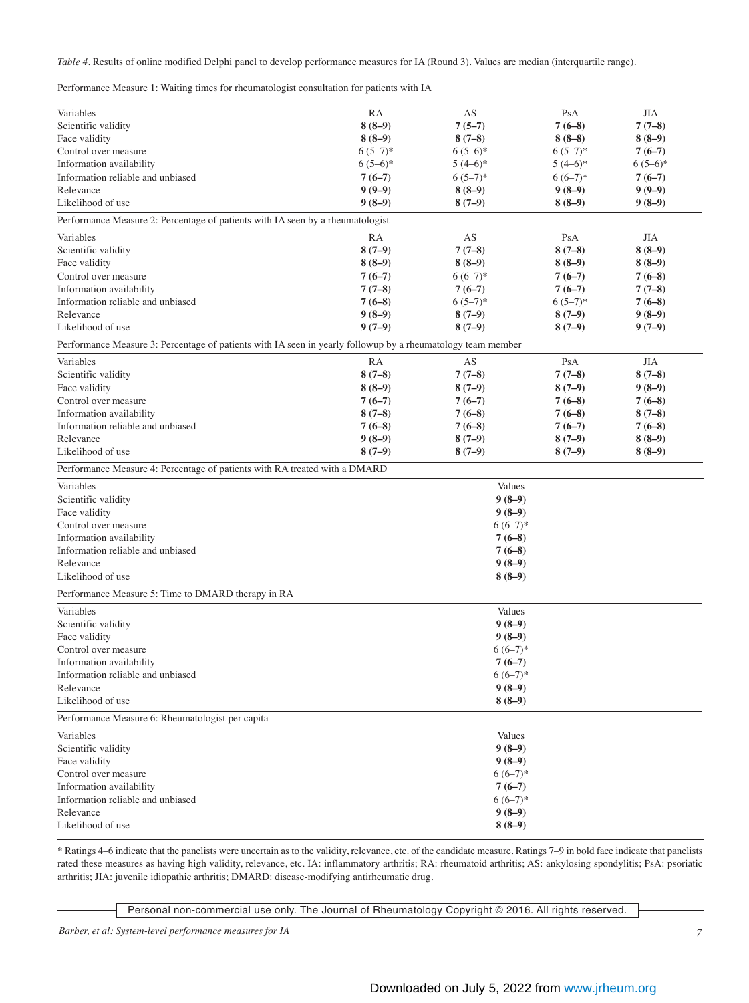| Table 4. Results of online modified Delphi panel to develop performance measures for IA (Round 3). Values are median (interquartile range). |  |  |
|---------------------------------------------------------------------------------------------------------------------------------------------|--|--|
|---------------------------------------------------------------------------------------------------------------------------------------------|--|--|

| Performance Measure 1: Waiting times for rheumatologist consultation for patients with IA                   |           |            |            |            |
|-------------------------------------------------------------------------------------------------------------|-----------|------------|------------|------------|
| Variables                                                                                                   | RA        | AS         | PsA        | <b>JIA</b> |
| Scientific validity                                                                                         | $8(8-9)$  | $7(5-7)$   | $7(6-8)$   | $7(7-8)$   |
| Face validity                                                                                               | $8(8-9)$  | $8(7-8)$   | $8(8-8)$   | $8(8-9)$   |
| Control over measure                                                                                        | $6(5-7)*$ | $6(5-6)*$  | $6(5-7)*$  | $7(6-7)$   |
| Information availability                                                                                    | $6(5-6)*$ | $5(4-6)*$  | $5(4-6)$ * | $6(5-6)*$  |
| Information reliable and unbiased                                                                           | $7(6-7)$  | $6(5-7)*$  | $6(6-7)$ * | $7(6-7)$   |
| Relevance                                                                                                   | $9(9-9)$  | $8(8-9)$   | $9(8-9)$   | $9(9-9)$   |
| Likelihood of use                                                                                           | $9(8-9)$  | $8(7-9)$   | $8(8-9)$   | $9(8-9)$   |
| Performance Measure 2: Percentage of patients with IA seen by a rheumatologist                              |           |            |            |            |
| Variables                                                                                                   | RA        | AS         | PsA        | <b>JIA</b> |
| Scientific validity                                                                                         | $8(7-9)$  | $7(7-8)$   | $8(7-8)$   | $8(8-9)$   |
| Face validity                                                                                               | $8(8-9)$  | $8(8-9)$   | $8(8-9)$   | $8(8-9)$   |
| Control over measure                                                                                        | $7(6-7)$  | $6(6-7)*$  | $7(6-7)$   | $7(6-8)$   |
| Information availability                                                                                    | $7(7-8)$  | $7(6-7)$   | $7(6-7)$   | $7(7-8)$   |
| Information reliable and unbiased                                                                           | $7(6-8)$  | $6(5-7)*$  | $6(5-7)*$  | $7(6-8)$   |
| Relevance                                                                                                   | $9(8-9)$  | $8(7-9)$   | $8(7-9)$   | $9(8-9)$   |
| Likelihood of use                                                                                           | $9(7-9)$  | $8(7-9)$   | $8(7-9)$   | $9(7-9)$   |
| Performance Measure 3: Percentage of patients with IA seen in yearly followup by a rheumatology team member |           |            |            |            |
| Variables                                                                                                   | RA        | AS         | PsA        | <b>JIA</b> |
| Scientific validity                                                                                         | $8(7-8)$  | $7(7-8)$   | $7(7-8)$   | $8(7-8)$   |
| Face validity                                                                                               | $8(8-9)$  | $8(7-9)$   | $8(7-9)$   | $9(8-9)$   |
| Control over measure                                                                                        | $7(6-7)$  | $7(6-7)$   | $7(6-8)$   | $7(6-8)$   |
| Information availability                                                                                    | $8(7-8)$  | $7(6-8)$   | $7(6-8)$   | $8(7-8)$   |
| Information reliable and unbiased                                                                           | $7(6-8)$  | $7(6-8)$   | $7(6-7)$   | $7(6-8)$   |
| Relevance                                                                                                   | $9(8-9)$  | $8(7-9)$   | $8(7-9)$   | $8(8-9)$   |
| Likelihood of use                                                                                           | $8(7-9)$  | $8(7-9)$   | $8(7-9)$   | $8(8-9)$   |
| Performance Measure 4: Percentage of patients with RA treated with a DMARD                                  |           |            |            |            |
| Variables                                                                                                   |           | Values     |            |            |
| Scientific validity                                                                                         |           | $9(8-9)$   |            |            |
| Face validity                                                                                               |           | $9(8-9)$   |            |            |
| Control over measure                                                                                        |           | $6(6-7)*$  |            |            |
| Information availability                                                                                    |           | $7(6-8)$   |            |            |
| Information reliable and unbiased                                                                           |           | $7(6-8)$   |            |            |
| Relevance                                                                                                   |           | $9(8-9)$   |            |            |
| Likelihood of use                                                                                           |           | $8(8-9)$   |            |            |
| Performance Measure 5: Time to DMARD therapy in RA                                                          |           |            |            |            |
| Variables                                                                                                   |           | Values     |            |            |
| Scientific validity                                                                                         |           | $9(8-9)$   |            |            |
| Face validity                                                                                               |           | $9(8-9)$   |            |            |
| Control over measure                                                                                        |           | $6(6-7)$ * |            |            |
| Information availability                                                                                    |           | $7(6-7)$   |            |            |
| Information reliable and unbiased                                                                           |           | $6(6-7)*$  |            |            |
| Relevance                                                                                                   |           | $9(8-9)$   |            |            |
| Likelihood of use                                                                                           |           | $8(8-9)$   |            |            |
| Performance Measure 6: Rheumatologist per capita                                                            |           |            |            |            |
| Variables                                                                                                   |           | Values     |            |            |
| Scientific validity                                                                                         |           | $9(8-9)$   |            |            |
| Face validity                                                                                               |           | $9(8-9)$   |            |            |
| Control over measure                                                                                        |           | $6(6-7)*$  |            |            |
| Information availability                                                                                    |           | $7(6-7)$   |            |            |
| Information reliable and unbiased                                                                           |           | $6(6-7)*$  |            |            |
| Relevance                                                                                                   |           | $9(8-9)$   |            |            |
| Likelihood of use                                                                                           |           | $8(8-9)$   |            |            |

\* Ratings 4–6 indicate that the panelists were uncertain as to the validity, relevance, etc. of the candidate measure. Ratings 7–9 in bold face indicate that panelists rated these measures as having high validity, relevance, etc. IA: inflammatory arthritis; RA: rheumatoid arthritis; AS: ankylosing spondylitis; PsA: psoriatic arthritis; JIA: juvenile idiopathic arthritis; DMARD: disease-modifying antirheumatic drug.

Personal non-commercial use only. The Journal of Rheumatology Copyright © 2016. All rights reserved.

*Barber, et al: System-level performance measures for IA 7*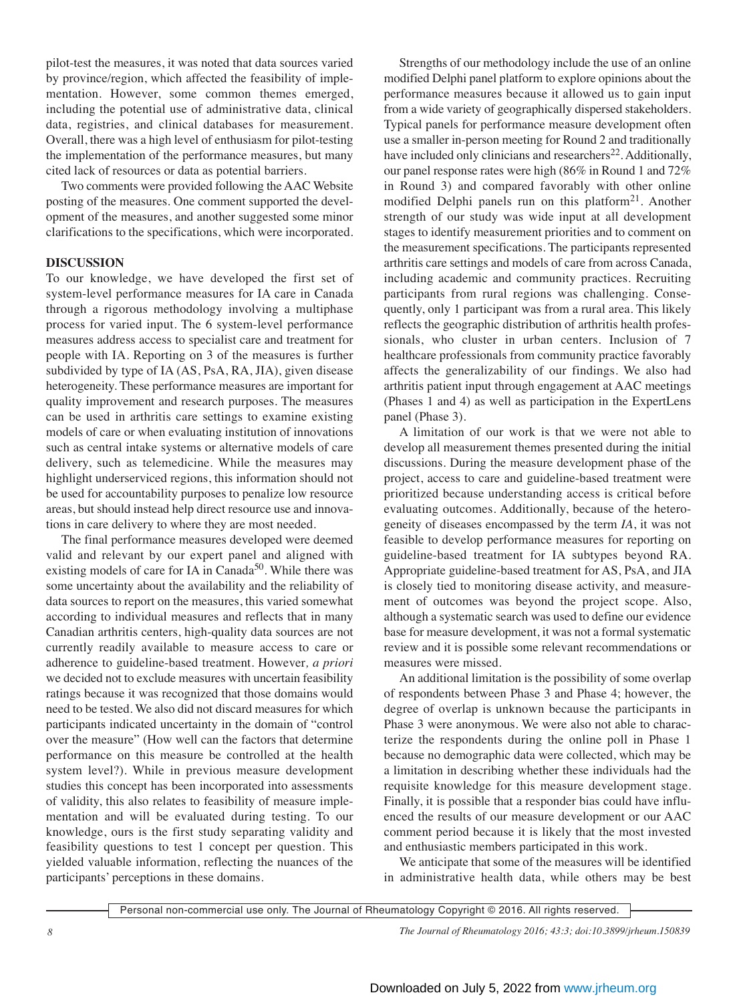pilot-test the measures, it was noted that data sources varied by province/region, which affected the feasibility of implementation. However, some common themes emerged, including the potential use of administrative data, clinical data, registries, and clinical databases for measurement. Overall, there was a high level of enthusiasm for pilot-testing the implementation of the performance measures, but many cited lack of resources or data as potential barriers.

Two comments were provided following the AAC Website posting of the measures. One comment supported the development of the measures, and another suggested some minor clarifications to the specifications, which were incorporated.

### **DISCUSSION**

To our knowledge, we have developed the first set of system-level performance measures for IA care in Canada through a rigorous methodology involving a multiphase process for varied input. The 6 system-level performance measures address access to specialist care and treatment for people with IA. Reporting on 3 of the measures is further subdivided by type of IA (AS, PsA, RA, JIA), given disease heterogeneity. These performance measures are important for quality improvement and research purposes. The measures can be used in arthritis care settings to examine existing models of care or when evaluating institution of innovations such as central intake systems or alternative models of care delivery, such as telemedicine. While the measures may highlight underserviced regions, this information should not be used for accountability purposes to penalize low resource areas, but should instead help direct resource use and innovations in care delivery to where they are most needed.

The final performance measures developed were deemed valid and relevant by our expert panel and aligned with existing models of care for IA in Canada<sup>50</sup>. While there was some uncertainty about the availability and the reliability of data sources to report on the measures, this varied somewhat according to individual measures and reflects that in many Canadian arthritis centers, high-quality data sources are not currently readily available to measure access to care or adherence to guideline-based treatment. However*, a priori* we decided not to exclude measures with uncertain feasibility ratings because it was recognized that those domains would need to be tested. We also did not discard measures for which participants indicated uncertainty in the domain of "control over the measure" (How well can the factors that determine performance on this measure be controlled at the health system level?). While in previous measure development studies this concept has been incorporated into assessments of validity, this also relates to feasibility of measure implementation and will be evaluated during testing. To our knowledge, ours is the first study separating validity and feasibility questions to test 1 concept per question. This yielded valuable information, reflecting the nuances of the participants' perceptions in these domains.

Strengths of our methodology include the use of an online modified Delphi panel platform to explore opinions about the performance measures because it allowed us to gain input from a wide variety of geographically dispersed stakeholders. Typical panels for performance measure development often use a smaller in-person meeting for Round 2 and traditionally have included only clinicians and researchers<sup>22</sup>. Additionally, our panel response rates were high (86% in Round 1 and 72% in Round 3) and compared favorably with other online modified Delphi panels run on this platform<sup>21</sup>. Another strength of our study was wide input at all development stages to identify measurement priorities and to comment on the measurement specifications. The participants represented arthritis care settings and models of care from across Canada, including academic and community practices. Recruiting participants from rural regions was challenging. Consequently, only 1 participant was from a rural area. This likely reflects the geographic distribution of arthritis health professionals, who cluster in urban centers. Inclusion of 7 healthcare professionals from community practice favorably affects the generalizability of our findings. We also had arthritis patient input through engagement at AAC meetings (Phases 1 and 4) as well as participation in the ExpertLens panel (Phase 3).

A limitation of our work is that we were not able to develop all measurement themes presented during the initial discussions. During the measure development phase of the project, access to care and guideline-based treatment were prioritized because understanding access is critical before evaluating outcomes. Additionally, because of the heterogeneity of diseases encompassed by the term *IA*, it was not feasible to develop performance measures for reporting on guideline-based treatment for IA subtypes beyond RA. Appropriate guideline-based treatment for AS, PsA, and JIA is closely tied to monitoring disease activity, and measure ment of outcomes was beyond the project scope. Also, although a systematic search was used to define our evidence base for measure development, it was not a formal systematic review and it is possible some relevant recommendations or measures were missed.

An additional limitation is the possibility of some overlap of respondents between Phase 3 and Phase 4; however, the degree of overlap is unknown because the participants in Phase 3 were anonymous. We were also not able to characterize the respondents during the online poll in Phase 1 because no demographic data were collected, which may be a limitation in describing whether these individuals had the requisite knowledge for this measure development stage. Finally, it is possible that a responder bias could have influenced the results of our measure development or our AAC comment period because it is likely that the most invested and enthusiastic members participated in this work.

We anticipate that some of the measures will be identified in administrative health data, while others may be best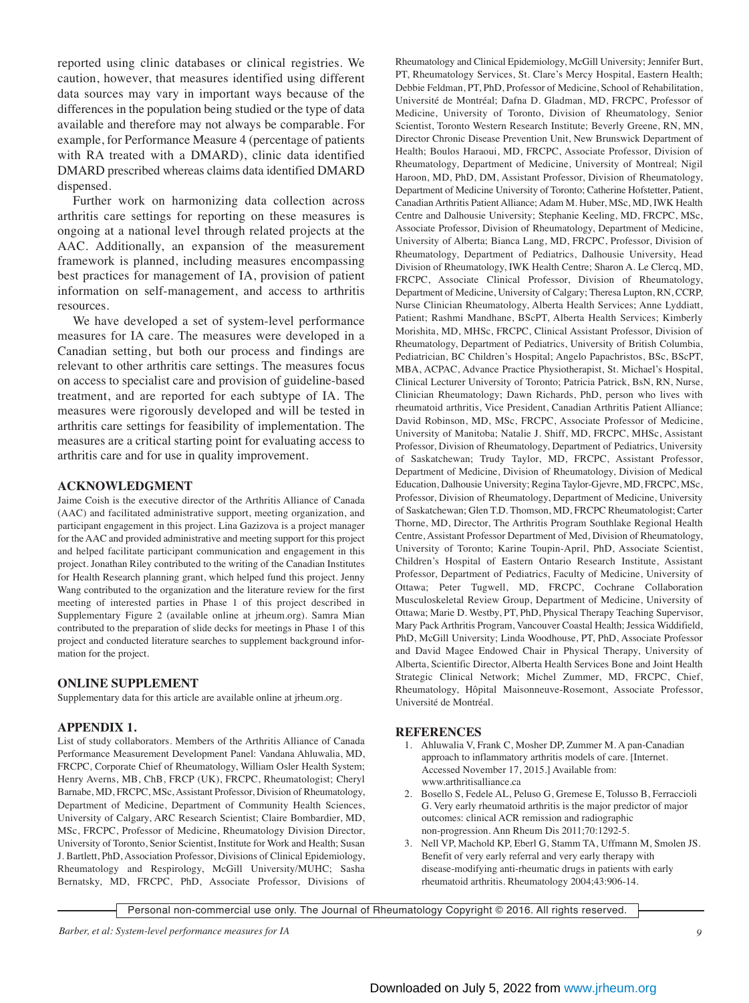reported using clinic databases or clinical registries. We caution, however, that measures identified using different data sources may vary in important ways because of the differences in the population being studied or the type of data available and therefore may not always be comparable. For example, for Performance Measure 4 (percentage of patients with RA treated with a DMARD), clinic data identified DMARD prescribed whereas claims data identified DMARD dispensed.

Further work on harmonizing data collection across arthritis care settings for reporting on these measures is ongoing at a national level through related projects at the AAC. Additionally, an expansion of the measurement framework is planned, including measures encompassing best practices for management of IA, provision of patient information on self-management, and access to arthritis resources.

We have developed a set of system-level performance measures for IA care. The measures were developed in a Canadian setting, but both our process and findings are relevant to other arthritis care settings. The measures focus on access to specialist care and provision of guideline-based treatment, and are reported for each subtype of IA. The measures were rigorously developed and will be tested in arthritis care settings for feasibility of implementation. The measures are a critical starting point for evaluating access to arthritis care and for use in quality improvement.

### **ACKNOWLEDGMENT**

Jaime Coish is the executive director of the Arthritis Alliance of Canada (AAC) and facilitated administrative support, meeting organization, and participant engagement in this project. Lina Gazizova is a project manager for the AAC and provided administrative and meeting support for this project and helped facilitate participant communication and engagement in this project. Jonathan Riley contributed to the writing of the Canadian Institutes for Health Research planning grant, which helped fund this project. Jenny Wang contributed to the organization and the literature review for the first meeting of interested parties in Phase 1 of this project described in Supplementary Figure 2 (available online at jrheum.org). Samra Mian contributed to the preparation of slide decks for meetings in Phase 1 of this project and conducted literature searches to supplement background information for the project.

## **ONLINE SUPPLEMENT**

Supplementary data for this article are available online at jrheum.org.

### **APPENDIX 1.**

List of study collaborators. Members of the Arthritis Alliance of Canada Performance Measurement Development Panel: Vandana Ahluwalia, MD, FRCPC, Corporate Chief of Rheumatology, William Osler Health System; Henry Averns, MB, ChB, FRCP (UK), FRCPC, Rheumatologist; Cheryl Barnabe, MD, FRCPC, MSc, Assistant Professor, Division of Rheumatology, Department of Medicine, Department of Community Health Sciences, University of Calgary, ARC Research Scientist; Claire Bombardier, MD, MSc, FRCPC, Professor of Medicine, Rheumatology Division Director, University of Toronto, Senior Scientist, Institute for Work and Health; Susan J. Bartlett, PhD, Association Professor, Divisions of Clinical Epidemiology, Rheumatology and Respirology, McGill University/MUHC; Sasha Bernatsky, MD, FRCPC, PhD, Associate Professor, Divisions of Rheumatology and Clinical Epidemiology, McGill University; Jennifer Burt, PT, Rheumatology Services, St. Clare's Mercy Hospital, Eastern Health; Debbie Feldman, PT, PhD, Professor of Medicine, School of Rehabilitation, Université de Montréal; Dafna D. Gladman, MD, FRCPC, Professor of Medicine, University of Toronto, Division of Rheumatology, Senior Scientist, Toronto Western Research Institute; Beverly Greene, RN, MN, Director Chronic Disease Prevention Unit, New Brunswick Department of Health; Boulos Haraoui, MD, FRCPC, Associate Professor, Division of Rheumatology, Department of Medicine, University of Montreal; Nigil Haroon, MD, PhD, DM, Assistant Professor, Division of Rheumatology, Department of Medicine University of Toronto; Catherine Hofstetter, Patient, Canadian Arthritis Patient Alliance; Adam M. Huber, MSc, MD, IWK Health Centre and Dalhousie University; Stephanie Keeling, MD, FRCPC, MSc, Associate Professor, Division of Rheumatology, Department of Medicine, University of Alberta; Bianca Lang, MD, FRCPC, Professor, Division of Rheumatology, Department of Pediatrics, Dalhousie University, Head Division of Rheumatology, IWK Health Centre; Sharon A. Le Clercq, MD, FRCPC, Associate Clinical Professor, Division of Rheumatology, Department of Medicine, University of Calgary; Theresa Lupton, RN, CCRP, Nurse Clinician Rheumatology, Alberta Health Services; Anne Lyddiatt, Patient; Rashmi Mandhane, BScPT, Alberta Health Services; Kimberly Morishita, MD, MHSc, FRCPC, Clinical Assistant Professor, Division of Rheumatology, Department of Pediatrics, University of British Columbia, Pediatrician, BC Children's Hospital; Angelo Papachristos, BSc, BScPT, MBA, ACPAC, Advance Practice Physiotherapist, St. Michael's Hospital, Clinical Lecturer University of Toronto; Patricia Patrick, BsN, RN, Nurse, Clinician Rheumatology; Dawn Richards, PhD, person who lives with rheumatoid arthritis, Vice President, Canadian Arthritis Patient Alliance; David Robinson, MD, MSc, FRCPC, Associate Professor of Medicine, University of Manitoba; Natalie J. Shiff, MD, FRCPC, MHSc, Assistant Professor, Division of Rheumatology, Department of Pediatrics, University of Saskatchewan; Trudy Taylor, MD, FRCPC, Assistant Professor, Department of Medicine, Division of Rheumatology, Division of Medical Education, Dalhousie University; Regina Taylor-Gjevre, MD, FRCPC, MSc, Professor, Division of Rheumatology, Department of Medicine, University of Saskatchewan; Glen T.D. Thomson, MD, FRCPC Rheumatologist; Carter Thorne, MD, Director, The Arthritis Program Southlake Regional Health Centre, Assistant Professor Department of Med, Division of Rheumatology, University of Toronto; Karine Toupin-April, PhD, Associate Scientist, Children's Hospital of Eastern Ontario Research Institute, Assistant Professor, Department of Pediatrics, Faculty of Medicine, University of Ottawa; Peter Tugwell, MD, FRCPC, Cochrane Collaboration Musculoskeletal Review Group, Department of Medicine, University of Ottawa; Marie D. Westby, PT, PhD, Physical Therapy Teaching Supervisor, Mary Pack Arthritis Program, Vancouver Coastal Health; Jessica Widdifield, PhD, McGill University; Linda Woodhouse, PT, PhD, Associate Professor and David Magee Endowed Chair in Physical Therapy, University of Alberta, Scientific Director, Alberta Health Services Bone and Joint Health Strategic Clinical Network; Michel Zummer, MD, FRCPC, Chief, Rheumatology, Hôpital Maisonneuve-Rosemont, Associate Professor, Université de Montréal.

#### **REFERENCES**

- 1. Ahluwalia V, Frank C, Mosher DP, Zummer M. A pan-Canadian approach to inflammatory arthritis models of care. [Internet. Accessed November 17, 2015.] Available from: www.arthritisalliance.ca
- 2. Bosello S, Fedele AL, Peluso G, Gremese E, Tolusso B, Ferraccioli G. Very early rheumatoid arthritis is the major predictor of major outcomes: clinical ACR remission and radiographic non-progression. Ann Rheum Dis 2011;70:1292-5.
- 3. Nell VP, Machold KP, Eberl G, Stamm TA, Uffmann M, Smolen JS. Benefit of very early referral and very early therapy with disease-modifying anti-rheumatic drugs in patients with early rheumatoid arthritis. Rheumatology 2004;43:906-14.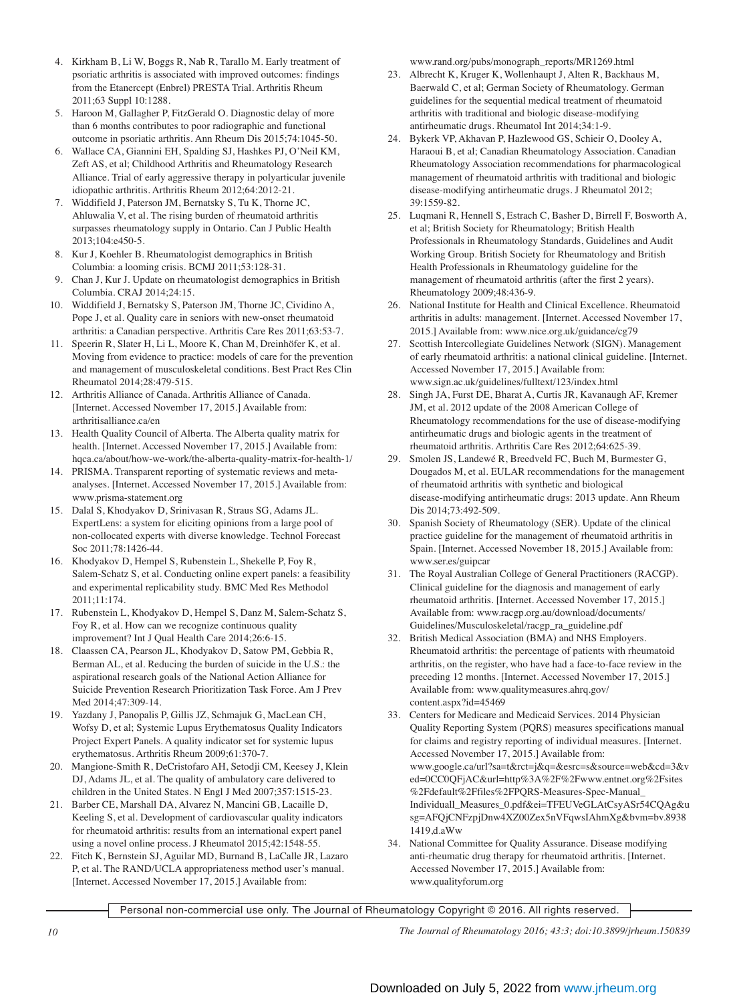- 4. Kirkham B, Li W, Boggs R, Nab R, Tarallo M. Early treatment of psoriatic arthritis is associated with improved outcomes: findings from the Etanercept (Enbrel) PRESTA Trial. Arthritis Rheum 2011;63 Suppl 10:1288.
- 5. Haroon M, Gallagher P, FitzGerald O. Diagnostic delay of more than 6 months contributes to poor radiographic and functional outcome in psoriatic arthritis. Ann Rheum Dis 2015;74:1045-50.
- 6. Wallace CA, Giannini EH, Spalding SJ, Hashkes PJ, O'Neil KM, Zeft AS, et al; Childhood Arthritis and Rheumatology Research Alliance. Trial of early aggressive therapy in polyarticular juvenile idiopathic arthritis. Arthritis Rheum 2012;64:2012-21.
- 7. Widdifield J, Paterson JM, Bernatsky S, Tu K, Thorne JC, Ahluwalia V, et al. The rising burden of rheumatoid arthritis surpasses rheumatology supply in Ontario. Can J Public Health 2013;104:e450-5.
- 8. Kur J, Koehler B. Rheumatologist demographics in British Columbia: a looming crisis. BCMJ 2011;53:128-31.
- 9. Chan J, Kur J. Update on rheumatologist demographics in British Columbia. CRAJ 2014;24:15.
- 10. Widdifield J, Bernatsky S, Paterson JM, Thorne JC, Cividino A, Pope J, et al. Quality care in seniors with new-onset rheumatoid arthritis: a Canadian perspective. Arthritis Care Res 2011;63:53-7.
- 11. Speerin R, Slater H, Li L, Moore K, Chan M, Dreinhöfer K, et al. Moving from evidence to practice: models of care for the prevention and management of musculoskeletal conditions. Best Pract Res Clin Rheumatol 2014;28:479-515.
- 12. Arthritis Alliance of Canada. Arthritis Alliance of Canada. [Internet. Accessed November 17, 2015.] Available from: arthritisalliance.ca/en
- 13. Health Quality Council of Alberta. The Alberta quality matrix for health. [Internet. Accessed November 17, 2015.] Available from: hqca.ca/about/how-we-work/the-alberta-quality-matrix-for-health-1/
- 14. PRISMA. Transparent reporting of systematic reviews and metaanalyses. [Internet. Accessed November 17, 2015.] Available from: www.prisma-statement.org
- 15. Dalal S, Khodyakov D, Srinivasan R, Straus SG, Adams JL. ExpertLens: a system for eliciting opinions from a large pool of non-collocated experts with diverse knowledge. Technol Forecast Soc 2011;78:1426-44.
- 16. Khodyakov D, Hempel S, Rubenstein L, Shekelle P, Foy R, Salem-Schatz S, et al. Conducting online expert panels: a feasibility and experimental replicability study. BMC Med Res Methodol 2011;11:174.
- 17. Rubenstein L, Khodyakov D, Hempel S, Danz M, Salem-Schatz S, Foy R, et al. How can we recognize continuous quality improvement? Int J Qual Health Care 2014;26:6-15.
- 18. Claassen CA, Pearson JL, Khodyakov D, Satow PM, Gebbia R, Berman AL, et al. Reducing the burden of suicide in the U.S.: the aspirational research goals of the National Action Alliance for Suicide Prevention Research Prioritization Task Force. Am J Prev Med 2014;47:309-14.
- 19. Yazdany J, Panopalis P, Gillis JZ, Schmajuk G, MacLean CH, Wofsy D, et al; Systemic Lupus Erythematosus Quality Indicators Project Expert Panels. A quality indicator set for systemic lupus erythematosus. Arthritis Rheum 2009;61:370-7.
- 20. Mangione-Smith R, DeCristofaro AH, Setodji CM, Keesey J, Klein DJ, Adams JL, et al. The quality of ambulatory care delivered to children in the United States. N Engl J Med 2007;357:1515-23.
- 21. Barber CE, Marshall DA, Alvarez N, Mancini GB, Lacaille D, Keeling S, et al. Development of cardiovascular quality indicators for rheumatoid arthritis: results from an international expert panel using a novel online process. J Rheumatol 2015;42:1548-55.
- 22. Fitch K, Bernstein SJ, Aguilar MD, Burnand B, LaCalle JR, Lazaro P, et al. The RAND/UCLA appropriateness method user's manual. [Internet. Accessed November 17, 2015.] Available from:

www.rand.org/pubs/monograph\_reports/MR1269.html

- 23. Albrecht K, Kruger K, Wollenhaupt J, Alten R, Backhaus M, Baerwald C, et al; German Society of Rheumatology. German guidelines for the sequential medical treatment of rheumatoid arthritis with traditional and biologic disease-modifying antirheumatic drugs. Rheumatol Int 2014;34:1-9.
- 24. Bykerk VP, Akhavan P, Hazlewood GS, Schieir O, Dooley A, Haraoui B, et al; Canadian Rheumatology Association. Canadian Rheumatology Association recommendations for pharmacological management of rheumatoid arthritis with traditional and biologic disease-modifying antirheumatic drugs. J Rheumatol 2012; 39:1559-82.
- 25. Luqmani R, Hennell S, Estrach C, Basher D, Birrell F, Bosworth A, et al; British Society for Rheumatology; British Health Professionals in Rheumatology Standards, Guidelines and Audit Working Group. British Society for Rheumatology and British Health Professionals in Rheumatology guideline for the management of rheumatoid arthritis (after the first 2 years). Rheumatology 2009;48:436-9.
- 26. National Institute for Health and Clinical Excellence. Rheumatoid arthritis in adults: management. [Internet. Accessed November 17, 2015.] Available from: www.nice.org.uk/guidance/cg79
- 27. Scottish Intercollegiate Guidelines Network (SIGN). Management of early rheumatoid arthritis: a national clinical guideline. [Internet. Accessed November 17, 2015.] Available from: www.sign.ac.uk/guidelines/fulltext/123/index.html
- 28. Singh JA, Furst DE, Bharat A, Curtis JR, Kavanaugh AF, Kremer JM, et al. 2012 update of the 2008 American College of Rheumatology recommendations for the use of disease-modifying antirheumatic drugs and biologic agents in the treatment of rheumatoid arthritis. Arthritis Care Res 2012;64:625-39.
- 29. Smolen JS, Landewé R, Breedveld FC, Buch M, Burmester G, Dougados M, et al. EULAR recommendations for the management of rheumatoid arthritis with synthetic and biological disease-modifying antirheumatic drugs: 2013 update. Ann Rheum Dis 2014;73:492-509.
- 30. Spanish Society of Rheumatology (SER). Update of the clinical practice guideline for the management of rheumatoid arthritis in Spain. [Internet. Accessed November 18, 2015.] Available from: www.ser.es/guipcar
- 31. The Royal Australian College of General Practitioners (RACGP). Clinical guideline for the diagnosis and management of early rheumatoid arthritis. [Internet. Accessed November 17, 2015.] Available from: www.racgp.org.au/download/documents/ Guidelines/Musculoskeletal/racgp\_ra\_guideline.pdf
- 32. British Medical Association (BMA) and NHS Employers. Rheumatoid arthritis: the percentage of patients with rheumatoid arthritis, on the register, who have had a face-to-face review in the preceding 12 months. [Internet. Accessed November 17, 2015.] Available from: www.qualitymeasures.ahrq.gov/ content.aspx?id=45469
- 33. Centers for Medicare and Medicaid Services. 2014 Physician Quality Reporting System (PQRS) measures specifications manual for claims and registry reporting of individual measures. [Internet. Accessed November 17, 2015.] Available from: www.google.ca/url?sa=t&rct=j&q=&esrc=s&source=web&cd=3&v ed=0CC0QFjAC&url=http%3A%2F%2Fwww.entnet.org%2Fsites %2Fdefault%2Ffiles%2FPQRS-Measures-Spec-Manual\_ Individuall\_Measures\_0.pdf&ei=TFEUVeGLAtCsyASr54CQAg&u sg=AFQjCNFzpjDnw4XZ00Zex5nVFqwsIAhmXg&bvm=bv.8938 1419,d.aWw
- 34. National Committee for Quality Assurance. Disease modifying anti-rheumatic drug therapy for rheumatoid arthritis. [Internet. Accessed November 17, 2015.] Available from: www.qualityforum.org